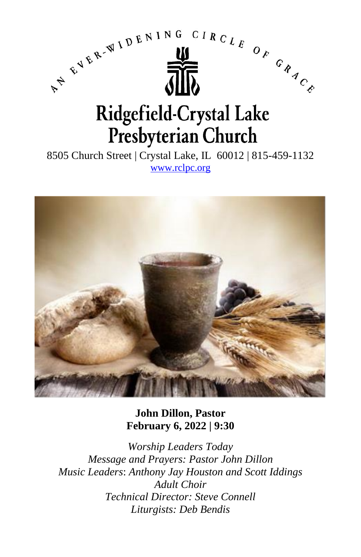

8505 Church Street | Crystal Lake, IL 60012 | 815-459-1132 [www.rclpc.org](http://www.rclpc.org/)



**John Dillon, Pastor February 6, 2022 | 9:30**

*Worship Leaders Today Message and Prayers: Pastor John Dillon Music Leaders*: *Anthony Jay Houston and Scott Iddings Adult Choir Technical Director: Steve Connell Liturgists: Deb Bendis*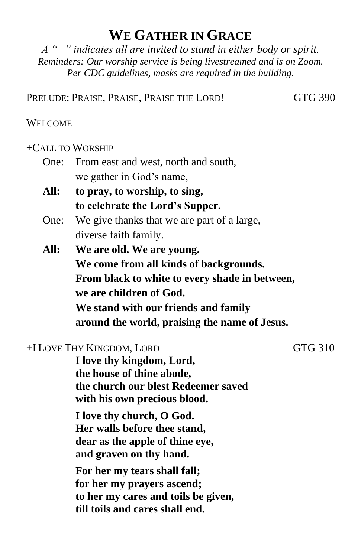# **WE GATHER IN GRACE**

*A "+" indicates all are invited to stand in either body or spirit. Reminders: Our worship service is being livestreamed and is on Zoom. Per CDC guidelines, masks are required in the building.*

PRELUDE: PRAISE, PRAISE, PRAISE THE LORD! GTG 390

#### WELCOME

#### +CALL TO WORSHIP

- One: From east and west, north and south, we gather in God's name,
- **All: to pray, to worship, to sing, to celebrate the Lord's Supper.**
- One: We give thanks that we are part of a large, diverse faith family.
- **All: We are old. We are young. We come from all kinds of backgrounds. From black to white to every shade in between, we are children of God. We stand with our friends and family around the world, praising the name of Jesus.**

### +I LOVE THY KINGDOM, LORD GTG 310

**I love thy kingdom, Lord, the house of thine abode, the church our blest Redeemer saved with his own precious blood.**

**I love thy church, O God. Her walls before thee stand, dear as the apple of thine eye, and graven on thy hand.**

**For her my tears shall fall; for her my prayers ascend; to her my cares and toils be given, till toils and cares shall end.**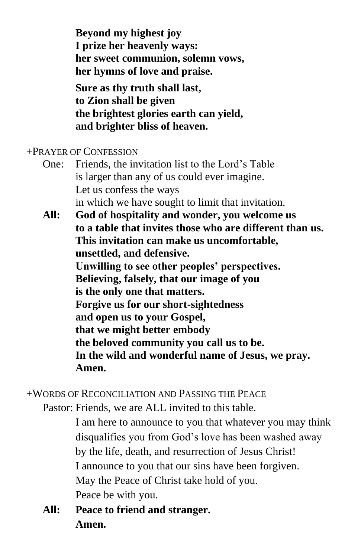**Beyond my highest joy I prize her heavenly ways: her sweet communion, solemn vows, her hymns of love and praise.**

**Sure as thy truth shall last, to Zion shall be given the brightest glories earth can yield, and brighter bliss of heaven.**

## +PRAYER OF CONFESSION

- One: Friends, the invitation list to the Lord's Table is larger than any of us could ever imagine. Let us confess the ways in which we have sought to limit that invitation.
- **All: God of hospitality and wonder, you welcome us to a table that invites those who are different than us. This invitation can make us uncomfortable, unsettled, and defensive. Unwilling to see other peoples' perspectives. Believing, falsely, that our image of you is the only one that matters. Forgive us for our short-sightedness and open us to your Gospel, that we might better embody the beloved community you call us to be. In the wild and wonderful name of Jesus, we pray. Amen.**

+WORDS OF RECONCILIATION AND PASSING THE PEACE

Pastor: Friends, we are ALL invited to this table.

I am here to announce to you that whatever you may think disqualifies you from God's love has been washed away by the life, death, and resurrection of Jesus Christ! I announce to you that our sins have been forgiven. May the Peace of Christ take hold of you. Peace be with you.

**All: Peace to friend and stranger. Amen.**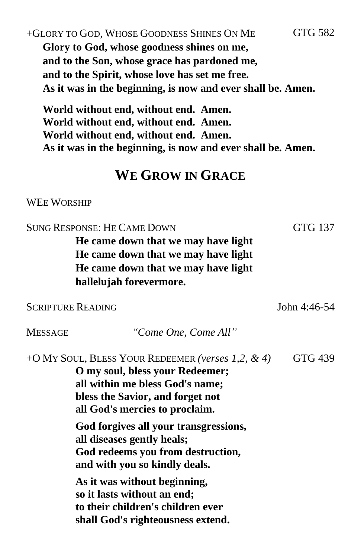# +GLORY TO GOD, WHOSE GOODNESS SHINES ON ME GTG 582 **Glory to God, whose goodness shines on me, and to the Son, whose grace has pardoned me, and to the Spirit, whose love has set me free. As it was in the beginning, is now and ever shall be. Amen.**

**World without end, without end. Amen. World without end, without end. Amen. World without end, without end. Amen. As it was in the beginning, is now and ever shall be. Amen.**

# **WE GROW IN GRACE**

#### WEE WORSHIP

SUNG RESPONSE: HE CAME DOWN GTG 137 **He came down that we may have light He came down that we may have light He came down that we may have light hallelujah forevermore.** SCRIPTURE READING John 4:46-54 MESSAGE *"Come One, Come All"* +O MY SOUL, BLESS YOUR REDEEMER *(verses 1,2, & 4)* GTG 439 **O my soul, bless your Redeemer; all within me bless God's name; bless the Savior, and forget not all God's mercies to proclaim. God forgives all your transgressions, all diseases gently heals; God redeems you from destruction, and with you so kindly deals. As it was without beginning, so it lasts without an end; to their children's children ever shall God's righteousness extend.**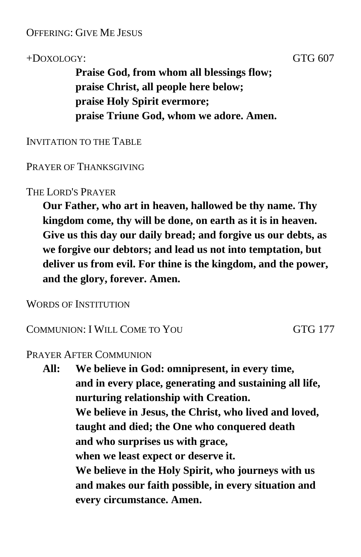## OFFERING: GIVE ME JESUS

## +DOXOLOGY: GTG 607

**Praise God, from whom all blessings flow; praise Christ, all people here below; praise Holy Spirit evermore; praise Triune God, whom we adore. Amen.**

INVITATION TO THE TABLE

### PRAYER OF THANKSGIVING

## THE LORD'S PRAYER

**Our Father, who art in heaven, hallowed be thy name. Thy kingdom come, thy will be done, on earth as it is in heaven. Give us this day our daily bread; and forgive us our debts, as we forgive our debtors; and lead us not into temptation, but deliver us from evil. For thine is the kingdom, and the power, and the glory, forever. Amen.**

WORDS OF INSTITUTION

COMMUNION: I WILL COME TO YOU GTG 177

#### PRAYER AFTER COMMUNION

**All: We believe in God: omnipresent, in every time, and in every place, generating and sustaining all life, nurturing relationship with Creation. We believe in Jesus, the Christ, who lived and loved, taught and died; the One who conquered death and who surprises us with grace, when we least expect or deserve it. We believe in the Holy Spirit, who journeys with us and makes our faith possible, in every situation and every circumstance. Amen.**